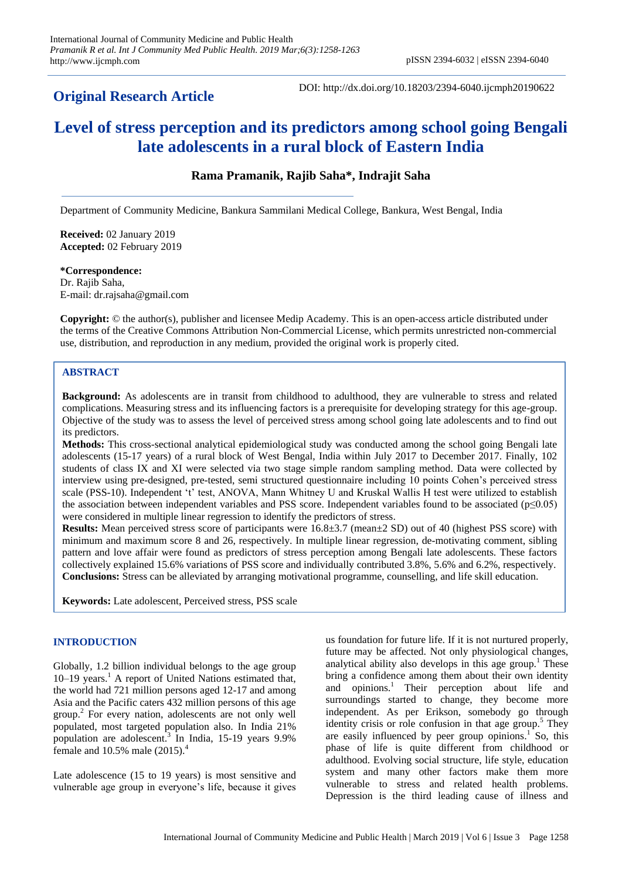## **Original Research Article**

DOI: http://dx.doi.org/10.18203/2394-6040.ijcmph20190622

# **Level of stress perception and its predictors among school going Bengali late adolescents in a rural block of Eastern India**

## **Rama Pramanik, Rajib Saha\*, Indrajit Saha**

Department of Community Medicine, Bankura Sammilani Medical College, Bankura, West Bengal, India

**Received:** 02 January 2019 **Accepted:** 02 February 2019

### **\*Correspondence:**

Dr. Rajib Saha, E-mail: dr.rajsaha@gmail.com

**Copyright:** © the author(s), publisher and licensee Medip Academy. This is an open-access article distributed under the terms of the Creative Commons Attribution Non-Commercial License, which permits unrestricted non-commercial use, distribution, and reproduction in any medium, provided the original work is properly cited.

## **ABSTRACT**

**Background:** As adolescents are in transit from childhood to adulthood, they are vulnerable to stress and related complications. Measuring stress and its influencing factors is a prerequisite for developing strategy for this age-group. Objective of the study was to assess the level of perceived stress among school going late adolescents and to find out its predictors.

**Methods:** This cross-sectional analytical epidemiological study was conducted among the school going Bengali late adolescents (15-17 years) of a rural block of West Bengal, India within July 2017 to December 2017. Finally, 102 students of class IX and XI were selected via two stage simple random sampling method. Data were collected by interview using pre-designed, pre-tested, semi structured questionnaire including 10 points Cohen's perceived stress scale (PSS-10). Independent 't' test, ANOVA, Mann Whitney U and Kruskal Wallis H test were utilized to establish the association between independent variables and PSS score. Independent variables found to be associated ( $p≤0.05$ ) were considered in multiple linear regression to identify the predictors of stress.

**Results:** Mean perceived stress score of participants were 16.8±3.7 (mean±2 SD) out of 40 (highest PSS score) with minimum and maximum score 8 and 26, respectively. In multiple linear regression, de-motivating comment, sibling pattern and love affair were found as predictors of stress perception among Bengali late adolescents. These factors collectively explained 15.6% variations of PSS score and individually contributed 3.8%, 5.6% and 6.2%, respectively. **Conclusions:** Stress can be alleviated by arranging motivational programme, counselling, and life skill education.

**Keywords:** Late adolescent, Perceived stress, PSS scale

## **INTRODUCTION**

Globally, 1.2 billion individual belongs to the age group 10–19 years. <sup>1</sup> A report of United Nations estimated that, the world had 721 million persons aged 12-17 and among Asia and the Pacific caters 432 million persons of this age group. 2 For every nation, adolescents are not only well populated, most targeted population also. In India 21% population are adolescent. 3 In India, 15-19 years 9.9% female and  $10.5\%$  male  $(2015).$ <sup>4</sup>

Late adolescence (15 to 19 years) is most sensitive and vulnerable age group in everyone's life, because it gives us foundation for future life. If it is not nurtured properly, future may be affected. Not only physiological changes, analytical ability also develops in this age group.<sup>1</sup> These bring a confidence among them about their own identity and opinions. <sup>1</sup> Their perception about life and surroundings started to change, they become more independent. As per Erikson, somebody go through identity crisis or role confusion in that age group.<sup>5</sup> They are easily influenced by peer group opinions.<sup>1</sup> So, this phase of life is quite different from childhood or adulthood. Evolving social structure, life style, education system and many other factors make them more vulnerable to stress and related health problems. Depression is the third leading cause of illness and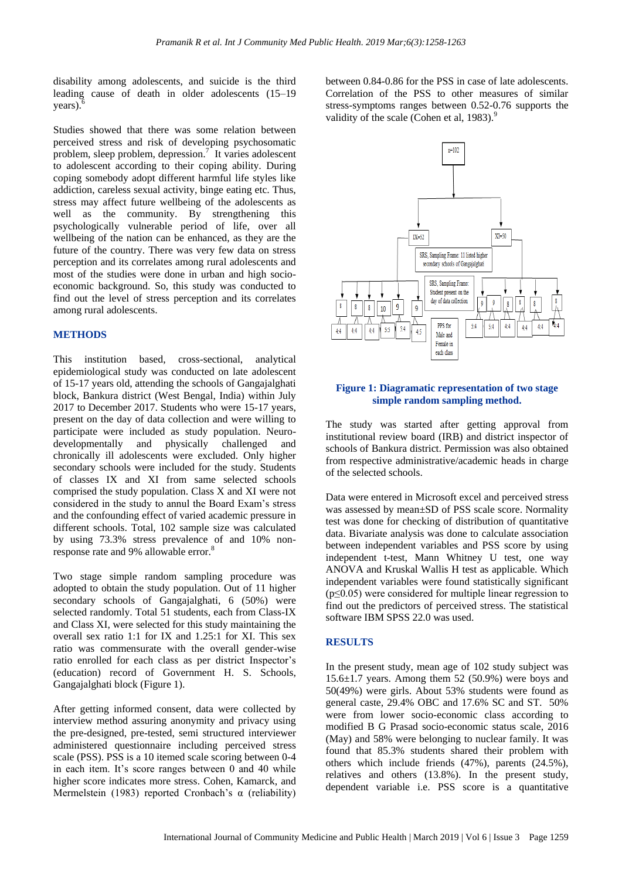disability among adolescents, and suicide is the third leading cause of death in older adolescents (15–19 years). 6

Studies showed that there was some relation between perceived stress and risk of developing psychosomatic problem, sleep problem, depression.<sup>7</sup> It varies adolescent to adolescent according to their coping ability. During coping somebody adopt different harmful life styles like addiction, careless sexual activity, binge eating etc. Thus, stress may affect future wellbeing of the adolescents as well as the community. By strengthening this psychologically vulnerable period of life, over all wellbeing of the nation can be enhanced, as they are the future of the country. There was very few data on stress perception and its correlates among rural adolescents and most of the studies were done in urban and high socioeconomic background. So, this study was conducted to find out the level of stress perception and its correlates among rural adolescents.

#### **METHODS**

This institution based, cross-sectional, analytical epidemiological study was conducted on late adolescent of 15-17 years old, attending the schools of Gangajalghati block, Bankura district (West Bengal, India) within July 2017 to December 2017. Students who were 15-17 years, present on the day of data collection and were willing to participate were included as study population. Neurodevelopmentally and physically challenged and chronically ill adolescents were excluded. Only higher secondary schools were included for the study. Students of classes IX and XI from same selected schools comprised the study population. Class X and XI were not considered in the study to annul the Board Exam's stress and the confounding effect of varied academic pressure in different schools. Total, 102 sample size was calculated by using 73.3% stress prevalence of and 10% nonresponse rate and 9% allowable error. 8

Two stage simple random sampling procedure was adopted to obtain the study population. Out of 11 higher secondary schools of Gangajalghati, 6 (50%) were selected randomly. Total 51 students, each from Class-IX and Class XI, were selected for this study maintaining the overall sex ratio 1:1 for IX and 1.25:1 for XI. This sex ratio was commensurate with the overall gender-wise ratio enrolled for each class as per district Inspector's (education) record of Government H. S. Schools, Gangajalghati block (Figure 1).

After getting informed consent, data were collected by interview method assuring anonymity and privacy using the pre-designed, pre-tested, semi structured interviewer administered questionnaire including perceived stress scale (PSS). PSS is a 10 itemed scale scoring between 0-4 in each item. It's score ranges between 0 and 40 while higher score indicates more stress. Cohen, Kamarck, and Mermelstein (1983) reported Cronbach's α (reliability) between 0.84-0.86 for the PSS in case of late adolescents. Correlation of the PSS to other measures of similar stress-symptoms ranges between 0.52-0.76 supports the validity of the scale (Cohen et al, 1983).<sup>9</sup>



#### **Figure 1: Diagramatic representation of two stage simple random sampling method.**

The study was started after getting approval from institutional review board (IRB) and district inspector of schools of Bankura district. Permission was also obtained from respective administrative/academic heads in charge of the selected schools.

Data were entered in Microsoft excel and perceived stress was assessed by mean±SD of PSS scale score. Normality test was done for checking of distribution of quantitative data. Bivariate analysis was done to calculate association between independent variables and PSS score by using independent t-test, Mann Whitney U test, one way ANOVA and Kruskal Wallis H test as applicable. Which independent variables were found statistically significant  $(p \le 0.05)$  were considered for multiple linear regression to find out the predictors of perceived stress. The statistical software IBM SPSS 22.0 was used.

#### **RESULTS**

In the present study, mean age of 102 study subject was  $15.6\pm1.7$  years. Among them 52 (50.9%) were boys and 50(49%) were girls. About 53% students were found as general caste, 29.4% OBC and 17.6% SC and ST. 50% were from lower socio-economic class according to modified B G Prasad socio-economic status scale, 2016 (May) and 58% were belonging to nuclear family. It was found that 85.3% students shared their problem with others which include friends (47%), parents (24.5%), relatives and others (13.8%). In the present study, dependent variable i.e. PSS score is a quantitative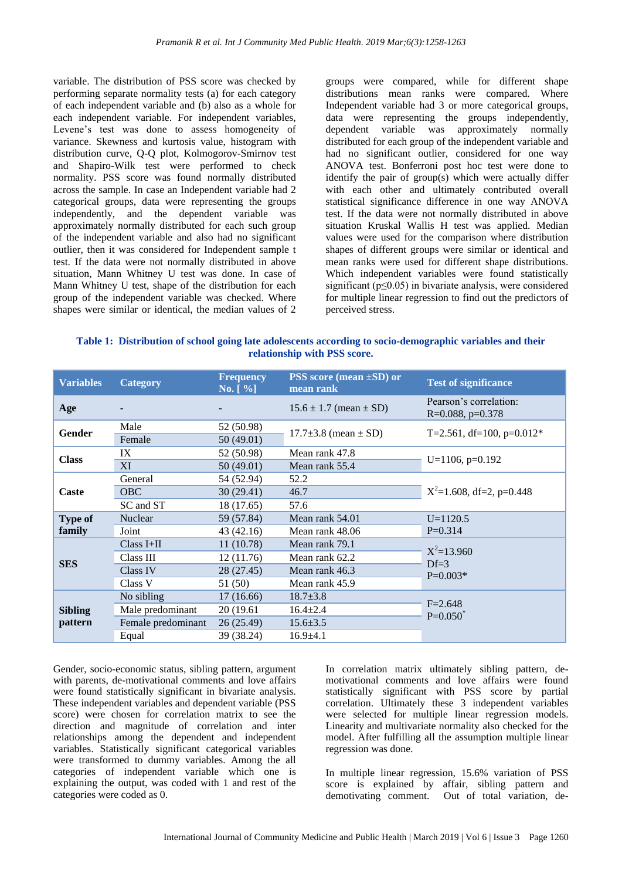variable. The distribution of PSS score was checked by performing separate normality tests (a) for each category of each independent variable and (b) also as a whole for each independent variable. For independent variables, Levene's test was done to assess homogeneity of variance. Skewness and kurtosis value, histogram with distribution curve, Q-Q plot, Kolmogorov-Smirnov test and Shapiro-Wilk test were performed to check normality. PSS score was found normally distributed across the sample. In case an Independent variable had 2 categorical groups, data were representing the groups independently, and the dependent variable was approximately normally distributed for each such group of the independent variable and also had no significant outlier, then it was considered for Independent sample t test. If the data were not normally distributed in above situation, Mann Whitney U test was done. In case of Mann Whitney U test, shape of the distribution for each group of the independent variable was checked. Where shapes were similar or identical, the median values of 2 groups were compared, while for different shape distributions mean ranks were compared. Where Independent variable had 3 or more categorical groups, data were representing the groups independently, dependent variable was approximately normally distributed for each group of the independent variable and had no significant outlier, considered for one way ANOVA test. Bonferroni post hoc test were done to identify the pair of group(s) which were actually differ with each other and ultimately contributed overall statistical significance difference in one way ANOVA test. If the data were not normally distributed in above situation Kruskal Wallis H test was applied. Median values were used for the comparison where distribution shapes of different groups were similar or identical and mean ranks were used for different shape distributions. Which independent variables were found statistically significant (p≤0.05) in bivariate analysis, were considered for multiple linear regression to find out the predictors of perceived stress.

**Table 1: Distribution of school going late adolescents according to socio-demographic variables and their relationship with PSS score.** 

| <b>Variables</b>          | <b>Category</b>    | <b>Frequency</b><br>$\mathbf{No.} [ \% ]$ | <b>PSS</b> score (mean $\pm$ SD) or<br>mean rank | <b>Test of significance</b>                   |  |
|---------------------------|--------------------|-------------------------------------------|--------------------------------------------------|-----------------------------------------------|--|
| Age                       |                    |                                           | $15.6 \pm 1.7$ (mean $\pm$ SD)                   | Pearson's correlation:<br>$R=0.088$ , p=0.378 |  |
| <b>Gender</b>             | Male               | 52 (50.98)                                | $17.7\pm3.8$ (mean $\pm$ SD)                     | T=2.561, df=100, $p=0.012*$                   |  |
|                           | Female             | 50(49.01)                                 |                                                  |                                               |  |
| <b>Class</b>              | IX                 | 52 (50.98)                                | Mean rank 47.8                                   |                                               |  |
|                           | XI                 | 50 (49.01)                                | Mean rank 55.4                                   | $U=1106$ , $p=0.192$                          |  |
| Caste                     | General            | 54 (52.94)                                | 52.2                                             |                                               |  |
|                           | <b>OBC</b>         | 30(29.41)                                 | 46.7                                             | $X^2=1.608$ , df=2, p=0.448                   |  |
|                           | SC and ST          | 18 (17.65)                                | 57.6                                             |                                               |  |
| <b>Type of</b><br>family  | Nuclear            | 59 (57.84)                                | Mean rank 54.01                                  | $U=1120.5$                                    |  |
|                           | Joint              | 43 (42.16)                                | Mean rank 48.06                                  | $P=0.314$                                     |  |
| <b>SES</b>                | $Class I+II$       | 11(10.78)                                 | Mean rank 79.1                                   |                                               |  |
|                           | Class III          | 12(11.76)                                 | Mean rank 62.2                                   | $X^2=13.960$<br>$Df=3$                        |  |
|                           | Class IV           | 28 (27.45)                                | Mean rank 46.3                                   | $P=0.003*$                                    |  |
|                           | Class V            | 51 (50)                                   | Mean rank 45.9                                   |                                               |  |
| <b>Sibling</b><br>pattern | No sibling         | 17(16.66)                                 | $18.7 \pm 3.8$                                   |                                               |  |
|                           | Male predominant   | 20 (19.61)                                | $16.4 \pm 2.4$                                   | $F = 2.648$<br>$P=0.050^*$                    |  |
|                           | Female predominant | 26(25.49)                                 | $15.6 \pm 3.5$                                   |                                               |  |
|                           | Equal              | 39 (38.24)                                | $16.9{\pm}4.1$                                   |                                               |  |

Gender, socio-economic status, sibling pattern, argument with parents, de-motivational comments and love affairs were found statistically significant in bivariate analysis. These independent variables and dependent variable (PSS score) were chosen for correlation matrix to see the direction and magnitude of correlation and inter relationships among the dependent and independent variables. Statistically significant categorical variables were transformed to dummy variables. Among the all categories of independent variable which one is explaining the output, was coded with 1 and rest of the categories were coded as 0.

In correlation matrix ultimately sibling pattern, demotivational comments and love affairs were found statistically significant with PSS score by partial correlation. Ultimately these 3 independent variables were selected for multiple linear regression models. Linearity and multivariate normality also checked for the model. After fulfilling all the assumption multiple linear regression was done.

In multiple linear regression, 15.6% variation of PSS score is explained by affair, sibling pattern and demotivating comment. Out of total variation, de-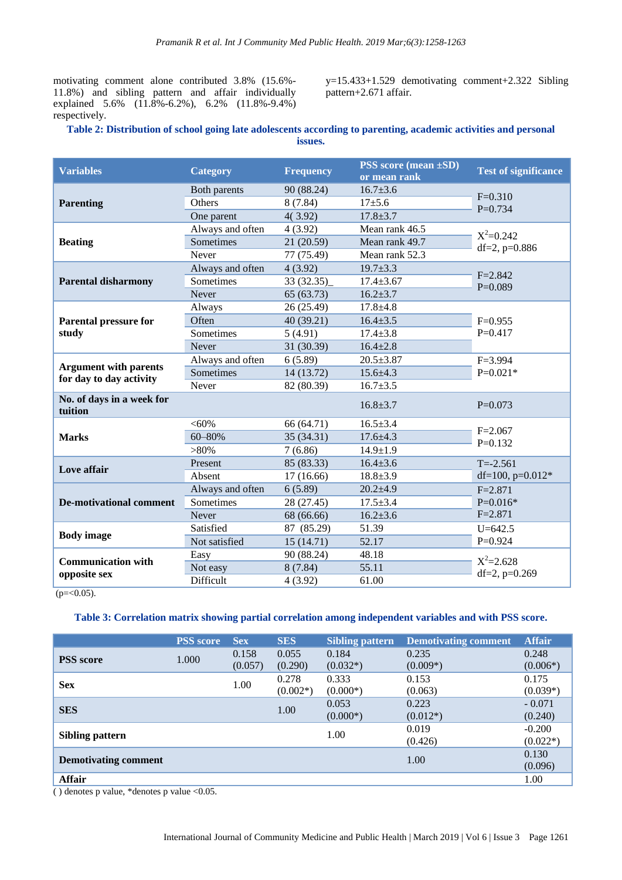motivating comment alone contributed 3.8% (15.6%- 11.8%) and sibling pattern and affair individually explained 5.6% (11.8%-6.2%), 6.2% (11.8%-9.4%) respectively.

y=15.433+1.529 demotivating comment+2.322 Sibling pattern+2.671 affair.

## **Table 2: Distribution of school going late adolescents according to parenting, academic activities and personal issues.**

| <b>Variables</b>                                        | <b>Category</b>  | <b>Frequency</b> | <b>PSS</b> score (mean $\pm$ SD)<br>or mean rank | <b>Test of significance</b> |  |
|---------------------------------------------------------|------------------|------------------|--------------------------------------------------|-----------------------------|--|
|                                                         | Both parents     | 90 (88.24)       | $16.7 \pm 3.6$                                   | $F=0.310$                   |  |
| <b>Parenting</b>                                        | Others           | 8(7.84)          | $17 + 5.6$                                       | $P=0.734$                   |  |
|                                                         | One parent       | 4(3.92)          | $17.8 \pm 3.7$                                   |                             |  |
|                                                         | Always and often | 4(3.92)          | Mean rank 46.5                                   | $X^2=0.242$                 |  |
| <b>Beating</b>                                          | Sometimes        | 21 (20.59)       | Mean rank 49.7                                   | df=2, $p=0.886$             |  |
|                                                         | Never            | 77 (75.49)       | Mean rank 52.3                                   |                             |  |
|                                                         | Always and often | 4(3.92)          | $19.7 \pm 3.3$                                   | $F = 2.842$                 |  |
| <b>Parental disharmony</b>                              | Sometimes        | 33(32.35)        | $17.4 \pm 3.67$                                  | $P=0.089$                   |  |
|                                                         | Never            | 65 (63.73)       | $16.2 \pm 3.7$                                   |                             |  |
|                                                         | Always           | 26 (25.49)       | $17.8 + 4.8$                                     |                             |  |
| Parental pressure for                                   | Often            | 40(39.21)        | $16.4 \pm 3.5$                                   | $F=0.955$                   |  |
| study                                                   | Sometimes        | 5(4.91)          | $17.4 \pm 3.8$                                   | $P=0.417$                   |  |
|                                                         | Never            | 31 (30.39)       | $16.4 \pm 2.8$                                   |                             |  |
|                                                         | Always and often | 6(5.89)          | $20.5 \pm 3.87$                                  | $F = 3.994$                 |  |
| <b>Argument with parents</b><br>for day to day activity | Sometimes        | 14 (13.72)       | $15.6 \pm 4.3$                                   | $P=0.021*$                  |  |
|                                                         | Never            | 82 (80.39)       | $16.7 \pm 3.5$                                   |                             |  |
| No. of days in a week for<br>tuition                    |                  |                  | $16.8 \pm 3.7$                                   | $P=0.073$                   |  |
|                                                         | $< 60\%$         | 66 (64.71)       | $16.5 \pm 3.4$                                   |                             |  |
| <b>Marks</b>                                            | 60-80%           | 35(34.31)        | $17.6 \pm 4.3$                                   | $F = 2.067$<br>$P=0.132$    |  |
|                                                         | $>80\%$          | 7(6.86)          | $14.9 \pm 1.9$                                   |                             |  |
| Love affair                                             | Present          | 85 (83.33)       | $16.4 \pm 3.6$                                   | $T = -2.561$                |  |
|                                                         | Absent           | 17(16.66)        | $18.8 \pm 3.9$                                   | df=100, $p=0.012*$          |  |
|                                                         | Always and often | 6(5.89)          | $20.2 + 4.9$                                     | $F = 2.871$                 |  |
| <b>De-motivational comment</b>                          | Sometimes        | 28 (27.45)       | $17.5 \pm 3.4$                                   | $P=0.016*$                  |  |
|                                                         | Never            | 68 (66.66)       | $16.2 \pm 3.6$                                   | $F = 2.871$                 |  |
|                                                         | Satisfied        | 87 (85.29)       | 51.39                                            | $U = 642.5$                 |  |
| <b>Body</b> image                                       | Not satisfied    | 15(14.71)        | 52.17                                            | $P=0.924$                   |  |
| <b>Communication with</b>                               | Easy             | 90 (88.24)       | 48.18                                            | $X^2 = 2.628$               |  |
| opposite sex                                            | Not easy         | 8(7.84)          | 55.11                                            | df=2, $p=0.269$             |  |
|                                                         | Difficult        | 4(3.92)          | 61.00                                            |                             |  |

 $(p = 0.05)$ .

## **Table 3: Correlation matrix showing partial correlation among independent variables and with PSS score.**

|                             | <b>PSS</b> score | <b>Sex</b>       | <b>SES</b>          | <b>Sibling pattern</b> | <b>Demotivating comment</b> | <b>Affair</b>          |
|-----------------------------|------------------|------------------|---------------------|------------------------|-----------------------------|------------------------|
| <b>PSS</b> score            | 1.000            | 0.158<br>(0.057) | 0.055<br>(0.290)    | 0.184<br>$(0.032*)$    | 0.235<br>$(0.009*)$         | 0.248<br>$(0.006*)$    |
| <b>Sex</b>                  |                  | 1.00             | 0.278<br>$(0.002*)$ | 0.333<br>$(0.000*)$    | 0.153<br>(0.063)            | 0.175<br>$(0.039*)$    |
| <b>SES</b>                  |                  |                  | 1.00                | 0.053<br>$(0.000*)$    | 0.223<br>$(0.012*)$         | $-0.071$<br>(0.240)    |
| <b>Sibling pattern</b>      |                  |                  |                     | 1.00                   | 0.019<br>(0.426)            | $-0.200$<br>$(0.022*)$ |
| <b>Demotivating comment</b> |                  |                  |                     |                        | 1.00                        | 0.130<br>(0.096)       |
| Affair                      | ---              |                  |                     |                        |                             | 1.00                   |

( ) denotes p value, \*denotes p value <0.05.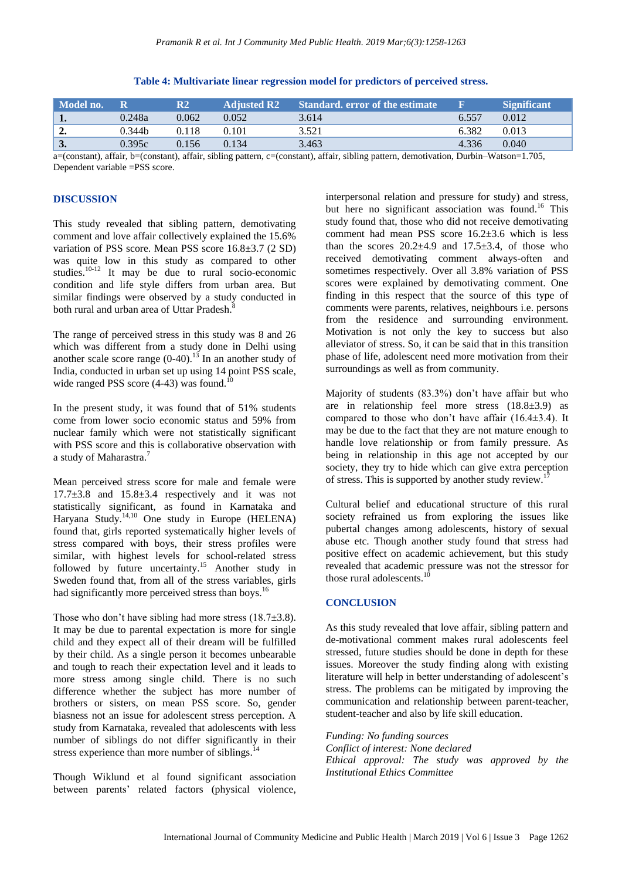| Model no.        |                    | R2    | <b>Adjusted R2</b> | <b>Standard.</b> error of the estimate | - 131 | <b>Significant</b> |
|------------------|--------------------|-------|--------------------|----------------------------------------|-------|--------------------|
| $\mathbf{1}$ .   | 0.248a             | 0.062 | 0.052              | 3.614                                  | 6.557 | 0.012              |
| $\overline{2}$ . | 0.344 <sub>b</sub> | 0.118 | 0.101              | 3.521                                  | 6.382 | 0.013              |
| $\mathbf{3}$     | 0.395c             | 0.156 | 0.134              | 3.463                                  | 4.336 | 0.040              |

#### **Table 4: Multivariate linear regression model for predictors of perceived stress.**

a=(constant), affair, b=(constant), affair, sibling pattern, c=(constant), affair, sibling pattern, demotivation, Durbin–Watson=1.705, Dependent variable =PSS score.

#### **DISCUSSION**

This study revealed that sibling pattern, demotivating comment and love affair collectively explained the 15.6% variation of PSS score. Mean PSS score 16.8±3.7 (2 SD) was quite low in this study as compared to other studies.<sup>10-12</sup> It may be due to rural socio-economic condition and life style differs from urban area. But similar findings were observed by a study conducted in both rural and urban area of Uttar Pradesh.<sup>8</sup>

The range of perceived stress in this study was 8 and 26 which was different from a study done in Delhi using another scale score range  $(0-40)$ .<sup>13</sup> In an another study of India, conducted in urban set up using 14 point PSS scale, wide ranged PSS score  $(4-43)$  was found.<sup>10</sup>

In the present study, it was found that of 51% students come from lower socio economic status and 59% from nuclear family which were not statistically significant with PSS score and this is collaborative observation with a study of Maharastra.<sup>7</sup>

Mean perceived stress score for male and female were  $17.7\pm3.8$  and  $15.8\pm3.4$  respectively and it was not statistically significant, as found in Karnataka and Haryana Study.<sup>14,10</sup> One study in Europe (HELENA) found that, girls reported systematically higher levels of stress compared with boys, their stress profiles were similar, with highest levels for school-related stress followed by future uncertainty.<sup>15</sup> Another study in Sweden found that, from all of the stress variables, girls had significantly more perceived stress than boys.<sup>16</sup>

Those who don't have sibling had more stress  $(18.7\pm3.8)$ . It may be due to parental expectation is more for single child and they expect all of their dream will be fulfilled by their child. As a single person it becomes unbearable and tough to reach their expectation level and it leads to more stress among single child. There is no such difference whether the subject has more number of brothers or sisters, on mean PSS score. So, gender biasness not an issue for adolescent stress perception. A study from Karnataka, revealed that adolescents with less number of siblings do not differ significantly in their stress experience than more number of siblings.<sup>14</sup>

Though Wiklund et al found significant association between parents' related factors (physical violence, interpersonal relation and pressure for study) and stress, but here no significant association was found. <sup>16</sup> This study found that, those who did not receive demotivating comment had mean PSS score 16.2±3.6 which is less than the scores  $20.2\pm4.9$  and  $17.5\pm3.4$ , of those who received demotivating comment always-often and sometimes respectively. Over all 3.8% variation of PSS scores were explained by demotivating comment. One finding in this respect that the source of this type of comments were parents, relatives, neighbours i.e. persons from the residence and surrounding environment. Motivation is not only the key to success but also alleviator of stress. So, it can be said that in this transition phase of life, adolescent need more motivation from their surroundings as well as from community.

Majority of students (83.3%) don't have affair but who are in relationship feel more stress (18.8±3.9) as compared to those who don't have affair (16.4±3.4). It may be due to the fact that they are not mature enough to handle love relationship or from family pressure. As being in relationship in this age not accepted by our society, they try to hide which can give extra perception of stress. This is supported by another study review.<sup>17</sup>

Cultural belief and educational structure of this rural society refrained us from exploring the issues like pubertal changes among adolescents, history of sexual abuse etc. Though another study found that stress had positive effect on academic achievement, but this study revealed that academic pressure was not the stressor for those rural adolescents.<sup>10</sup>

## **CONCLUSION**

As this study revealed that love affair, sibling pattern and de-motivational comment makes rural adolescents feel stressed, future studies should be done in depth for these issues. Moreover the study finding along with existing literature will help in better understanding of adolescent's stress. The problems can be mitigated by improving the communication and relationship between parent-teacher, student-teacher and also by life skill education.

*Funding: No funding sources Conflict of interest: None declared Ethical approval: The study was approved by the Institutional Ethics Committee*